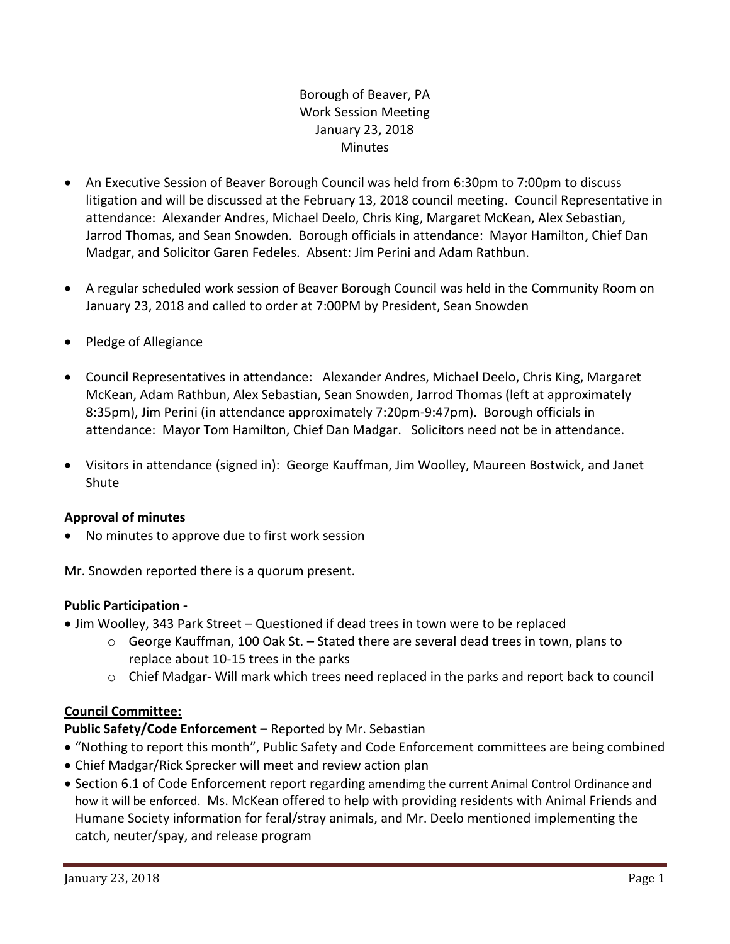# Borough of Beaver, PA Work Session Meeting January 23, 2018 **Minutes**

- An Executive Session of Beaver Borough Council was held from 6:30pm to 7:00pm to discuss litigation and will be discussed at the February 13, 2018 council meeting. Council Representative in attendance: Alexander Andres, Michael Deelo, Chris King, Margaret McKean, Alex Sebastian, Jarrod Thomas, and Sean Snowden. Borough officials in attendance: Mayor Hamilton, Chief Dan Madgar, and Solicitor Garen Fedeles. Absent: Jim Perini and Adam Rathbun.
- A regular scheduled work session of Beaver Borough Council was held in the Community Room on January 23, 2018 and called to order at 7:00PM by President, Sean Snowden
- Pledge of Allegiance
- Council Representatives in attendance: Alexander Andres, Michael Deelo, Chris King, Margaret McKean, Adam Rathbun, Alex Sebastian, Sean Snowden, Jarrod Thomas (left at approximately 8:35pm), Jim Perini (in attendance approximately 7:20pm-9:47pm). Borough officials in attendance: Mayor Tom Hamilton, Chief Dan Madgar. Solicitors need not be in attendance.
- Visitors in attendance (signed in): George Kauffman, Jim Woolley, Maureen Bostwick, and Janet Shute

## **Approval of minutes**

No minutes to approve due to first work session

Mr. Snowden reported there is a quorum present.

## **Public Participation -**

- Jim Woolley, 343 Park Street Questioned if dead trees in town were to be replaced
	- o George Kauffman, 100 Oak St. Stated there are several dead trees in town, plans to replace about 10-15 trees in the parks
	- $\circ$  Chief Madgar- Will mark which trees need replaced in the parks and report back to council

# **Council Committee:**

# **Public Safety/Code Enforcement –** Reported by Mr. Sebastian

- "Nothing to report this month", Public Safety and Code Enforcement committees are being combined
- Chief Madgar/Rick Sprecker will meet and review action plan
- Section 6.1 of Code Enforcement report regarding amendimg the current Animal Control Ordinance and how it will be enforced. Ms. McKean offered to help with providing residents with Animal Friends and Humane Society information for feral/stray animals, and Mr. Deelo mentioned implementing the catch, neuter/spay, and release program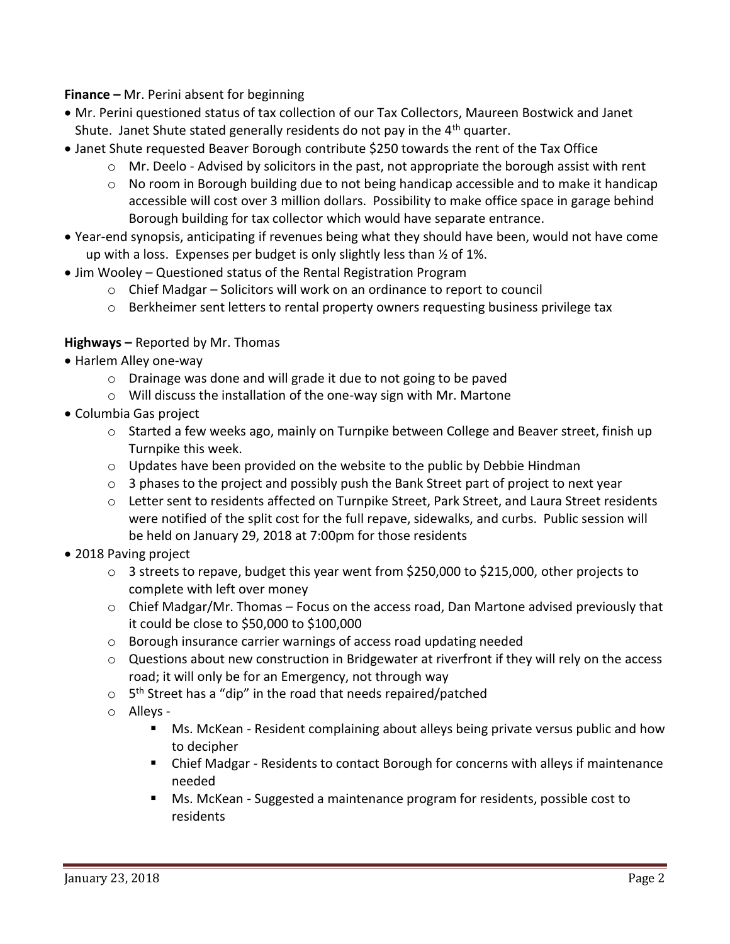**Finance –** Mr. Perini absent for beginning

- Mr. Perini questioned status of tax collection of our Tax Collectors, Maureen Bostwick and Janet Shute. Janet Shute stated generally residents do not pay in the 4<sup>th</sup> quarter.
- Janet Shute requested Beaver Borough contribute \$250 towards the rent of the Tax Office
	- $\circ$  Mr. Deelo Advised by solicitors in the past, not appropriate the borough assist with rent
	- $\circ$  No room in Borough building due to not being handicap accessible and to make it handicap accessible will cost over 3 million dollars. Possibility to make office space in garage behind Borough building for tax collector which would have separate entrance.
- Year-end synopsis, anticipating if revenues being what they should have been, would not have come up with a loss. Expenses per budget is only slightly less than ½ of 1%.
- Jim Wooley Questioned status of the Rental Registration Program
	- o Chief Madgar Solicitors will work on an ordinance to report to council
	- o Berkheimer sent letters to rental property owners requesting business privilege tax

### **Highways –** Reported by Mr. Thomas

- Harlem Alley one-way
	- o Drainage was done and will grade it due to not going to be paved
	- o Will discuss the installation of the one-way sign with Mr. Martone
- Columbia Gas project
	- $\circ$  Started a few weeks ago, mainly on Turnpike between College and Beaver street, finish up Turnpike this week.
	- $\circ$  Updates have been provided on the website to the public by Debbie Hindman
	- $\circ$  3 phases to the project and possibly push the Bank Street part of project to next year
	- o Letter sent to residents affected on Turnpike Street, Park Street, and Laura Street residents were notified of the split cost for the full repave, sidewalks, and curbs. Public session will be held on January 29, 2018 at 7:00pm for those residents
- 2018 Paving project
	- $\circ$  3 streets to repave, budget this year went from \$250,000 to \$215,000, other projects to complete with left over money
	- $\circ$  Chief Madgar/Mr. Thomas Focus on the access road, Dan Martone advised previously that it could be close to \$50,000 to \$100,000
	- o Borough insurance carrier warnings of access road updating needed
	- $\circ$  Questions about new construction in Bridgewater at riverfront if they will rely on the access road; it will only be for an Emergency, not through way
	- $\circ$  5<sup>th</sup> Street has a "dip" in the road that needs repaired/patched
	- o Alleys
		- Ms. McKean Resident complaining about alleys being private versus public and how to decipher
		- Chief Madgar Residents to contact Borough for concerns with alleys if maintenance needed
		- Ms. McKean Suggested a maintenance program for residents, possible cost to residents